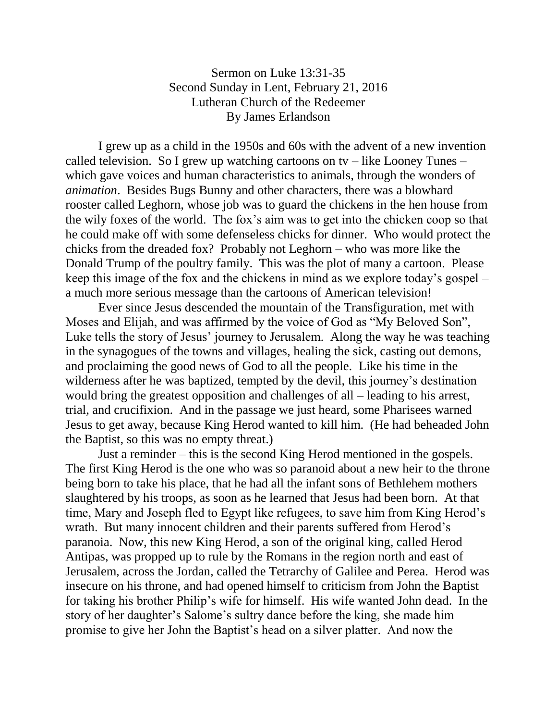## Sermon on Luke 13:31-35 Second Sunday in Lent, February 21, 2016 Lutheran Church of the Redeemer By James Erlandson

I grew up as a child in the 1950s and 60s with the advent of a new invention called television. So I grew up watching cartoons on tv – like Looney Tunes – which gave voices and human characteristics to animals, through the wonders of *animation*. Besides Bugs Bunny and other characters, there was a blowhard rooster called Leghorn, whose job was to guard the chickens in the hen house from the wily foxes of the world. The fox's aim was to get into the chicken coop so that he could make off with some defenseless chicks for dinner. Who would protect the chicks from the dreaded fox? Probably not Leghorn – who was more like the Donald Trump of the poultry family. This was the plot of many a cartoon. Please keep this image of the fox and the chickens in mind as we explore today's gospel – a much more serious message than the cartoons of American television!

Ever since Jesus descended the mountain of the Transfiguration, met with Moses and Elijah, and was affirmed by the voice of God as "My Beloved Son", Luke tells the story of Jesus' journey to Jerusalem. Along the way he was teaching in the synagogues of the towns and villages, healing the sick, casting out demons, and proclaiming the good news of God to all the people. Like his time in the wilderness after he was baptized, tempted by the devil, this journey's destination would bring the greatest opposition and challenges of all – leading to his arrest, trial, and crucifixion. And in the passage we just heard, some Pharisees warned Jesus to get away, because King Herod wanted to kill him. (He had beheaded John the Baptist, so this was no empty threat.)

Just a reminder – this is the second King Herod mentioned in the gospels. The first King Herod is the one who was so paranoid about a new heir to the throne being born to take his place, that he had all the infant sons of Bethlehem mothers slaughtered by his troops, as soon as he learned that Jesus had been born. At that time, Mary and Joseph fled to Egypt like refugees, to save him from King Herod's wrath. But many innocent children and their parents suffered from Herod's paranoia. Now, this new King Herod, a son of the original king, called Herod Antipas, was propped up to rule by the Romans in the region north and east of Jerusalem, across the Jordan, called the Tetrarchy of Galilee and Perea. Herod was insecure on his throne, and had opened himself to criticism from John the Baptist for taking his brother Philip's wife for himself. His wife wanted John dead. In the story of her daughter's Salome's sultry dance before the king, she made him promise to give her John the Baptist's head on a silver platter. And now the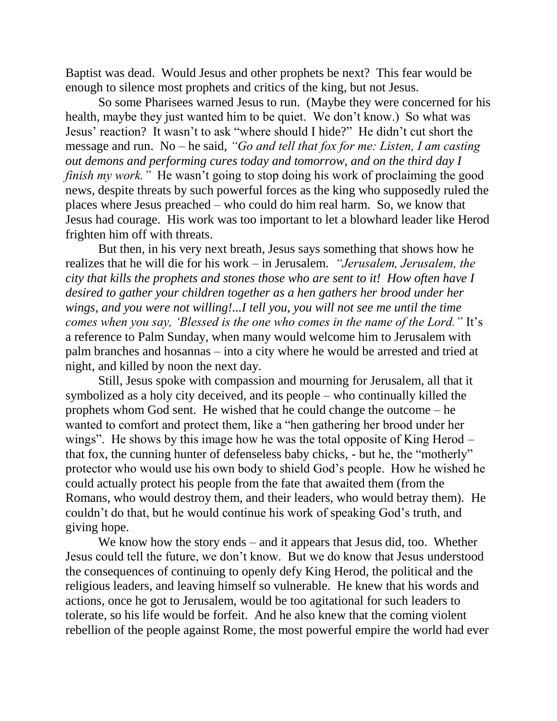Baptist was dead. Would Jesus and other prophets be next? This fear would be enough to silence most prophets and critics of the king, but not Jesus.

So some Pharisees warned Jesus to run. (Maybe they were concerned for his health, maybe they just wanted him to be quiet. We don't know.) So what was Jesus' reaction? It wasn't to ask "where should I hide?" He didn't cut short the message and run. No – he said, *"Go and tell that fox for me: Listen, I am casting out demons and performing cures today and tomorrow, and on the third day I finish my work.*" He wasn't going to stop doing his work of proclaiming the good news, despite threats by such powerful forces as the king who supposedly ruled the places where Jesus preached – who could do him real harm. So, we know that Jesus had courage. His work was too important to let a blowhard leader like Herod frighten him off with threats.

But then, in his very next breath, Jesus says something that shows how he realizes that he will die for his work – in Jerusalem. *"Jerusalem, Jerusalem, the city that kills the prophets and stones those who are sent to it! How often have I desired to gather your children together as a hen gathers her brood under her wings, and you were not willing!...I tell you, you will not see me until the time comes when you say, 'Blessed is the one who comes in the name of the Lord."* It's a reference to Palm Sunday, when many would welcome him to Jerusalem with palm branches and hosannas – into a city where he would be arrested and tried at night, and killed by noon the next day.

Still, Jesus spoke with compassion and mourning for Jerusalem, all that it symbolized as a holy city deceived, and its people – who continually killed the prophets whom God sent. He wished that he could change the outcome – he wanted to comfort and protect them, like a "hen gathering her brood under her wings". He shows by this image how he was the total opposite of King Herod – that fox, the cunning hunter of defenseless baby chicks, - but he, the "motherly" protector who would use his own body to shield God's people. How he wished he could actually protect his people from the fate that awaited them (from the Romans, who would destroy them, and their leaders, who would betray them). He couldn't do that, but he would continue his work of speaking God's truth, and giving hope.

We know how the story ends – and it appears that Jesus did, too. Whether Jesus could tell the future, we don't know. But we do know that Jesus understood the consequences of continuing to openly defy King Herod, the political and the religious leaders, and leaving himself so vulnerable. He knew that his words and actions, once he got to Jerusalem, would be too agitational for such leaders to tolerate, so his life would be forfeit. And he also knew that the coming violent rebellion of the people against Rome, the most powerful empire the world had ever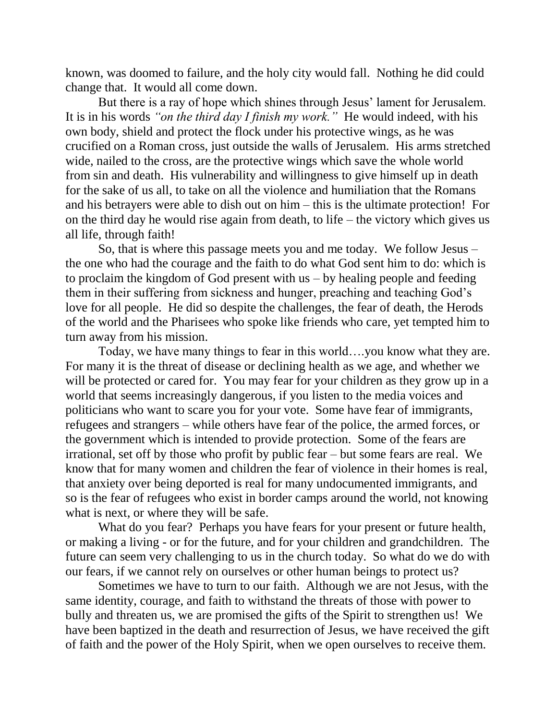known, was doomed to failure, and the holy city would fall. Nothing he did could change that. It would all come down.

But there is a ray of hope which shines through Jesus' lament for Jerusalem. It is in his words *"on the third day I finish my work."* He would indeed, with his own body, shield and protect the flock under his protective wings, as he was crucified on a Roman cross, just outside the walls of Jerusalem. His arms stretched wide, nailed to the cross, are the protective wings which save the whole world from sin and death. His vulnerability and willingness to give himself up in death for the sake of us all, to take on all the violence and humiliation that the Romans and his betrayers were able to dish out on him – this is the ultimate protection! For on the third day he would rise again from death, to life – the victory which gives us all life, through faith!

So, that is where this passage meets you and me today. We follow Jesus – the one who had the courage and the faith to do what God sent him to do: which is to proclaim the kingdom of God present with us – by healing people and feeding them in their suffering from sickness and hunger, preaching and teaching God's love for all people. He did so despite the challenges, the fear of death, the Herods of the world and the Pharisees who spoke like friends who care, yet tempted him to turn away from his mission.

Today, we have many things to fear in this world….you know what they are. For many it is the threat of disease or declining health as we age, and whether we will be protected or cared for. You may fear for your children as they grow up in a world that seems increasingly dangerous, if you listen to the media voices and politicians who want to scare you for your vote. Some have fear of immigrants, refugees and strangers – while others have fear of the police, the armed forces, or the government which is intended to provide protection. Some of the fears are irrational, set off by those who profit by public fear – but some fears are real. We know that for many women and children the fear of violence in their homes is real, that anxiety over being deported is real for many undocumented immigrants, and so is the fear of refugees who exist in border camps around the world, not knowing what is next, or where they will be safe.

What do you fear? Perhaps you have fears for your present or future health, or making a living - or for the future, and for your children and grandchildren. The future can seem very challenging to us in the church today. So what do we do with our fears, if we cannot rely on ourselves or other human beings to protect us?

Sometimes we have to turn to our faith. Although we are not Jesus, with the same identity, courage, and faith to withstand the threats of those with power to bully and threaten us, we are promised the gifts of the Spirit to strengthen us! We have been baptized in the death and resurrection of Jesus, we have received the gift of faith and the power of the Holy Spirit, when we open ourselves to receive them.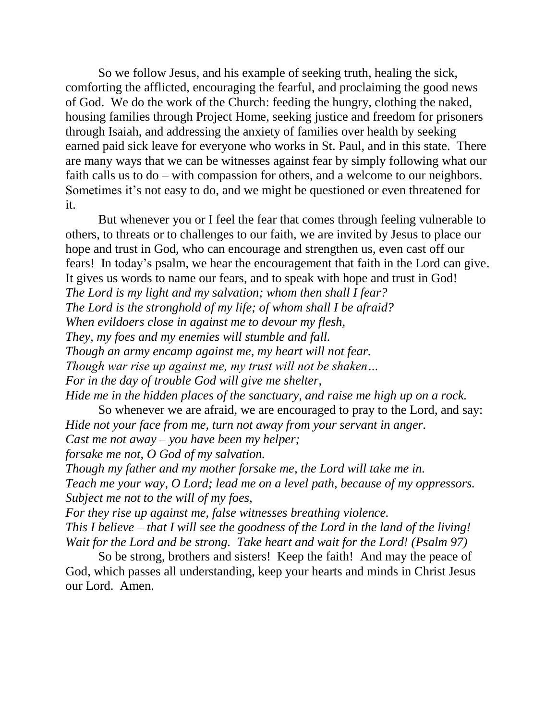So we follow Jesus, and his example of seeking truth, healing the sick, comforting the afflicted, encouraging the fearful, and proclaiming the good news of God. We do the work of the Church: feeding the hungry, clothing the naked, housing families through Project Home, seeking justice and freedom for prisoners through Isaiah, and addressing the anxiety of families over health by seeking earned paid sick leave for everyone who works in St. Paul, and in this state. There are many ways that we can be witnesses against fear by simply following what our faith calls us to do – with compassion for others, and a welcome to our neighbors. Sometimes it's not easy to do, and we might be questioned or even threatened for it.

But whenever you or I feel the fear that comes through feeling vulnerable to others, to threats or to challenges to our faith, we are invited by Jesus to place our hope and trust in God, who can encourage and strengthen us, even cast off our fears! In today's psalm, we hear the encouragement that faith in the Lord can give. It gives us words to name our fears, and to speak with hope and trust in God! *The Lord is my light and my salvation; whom then shall I fear? The Lord is the stronghold of my life; of whom shall I be afraid? When evildoers close in against me to devour my flesh, They, my foes and my enemies will stumble and fall. Though an army encamp against me, my heart will not fear. Though war rise up against me, my trust will not be shaken… For in the day of trouble God will give me shelter, Hide me in the hidden places of the sanctuary, and raise me high up on a rock.*

So whenever we are afraid, we are encouraged to pray to the Lord, and say: *Hide not your face from me, turn not away from your servant in anger.*

*Cast me not away – you have been my helper;* 

*forsake me not, O God of my salvation.*

*Though my father and my mother forsake me, the Lord will take me in.*

*Teach me your way, O Lord; lead me on a level path, because of my oppressors. Subject me not to the will of my foes,*

*For they rise up against me, false witnesses breathing violence. This I believe – that I will see the goodness of the Lord in the land of the living! Wait for the Lord and be strong. Take heart and wait for the Lord! (Psalm 97)*

So be strong, brothers and sisters! Keep the faith! And may the peace of God, which passes all understanding, keep your hearts and minds in Christ Jesus our Lord. Amen.